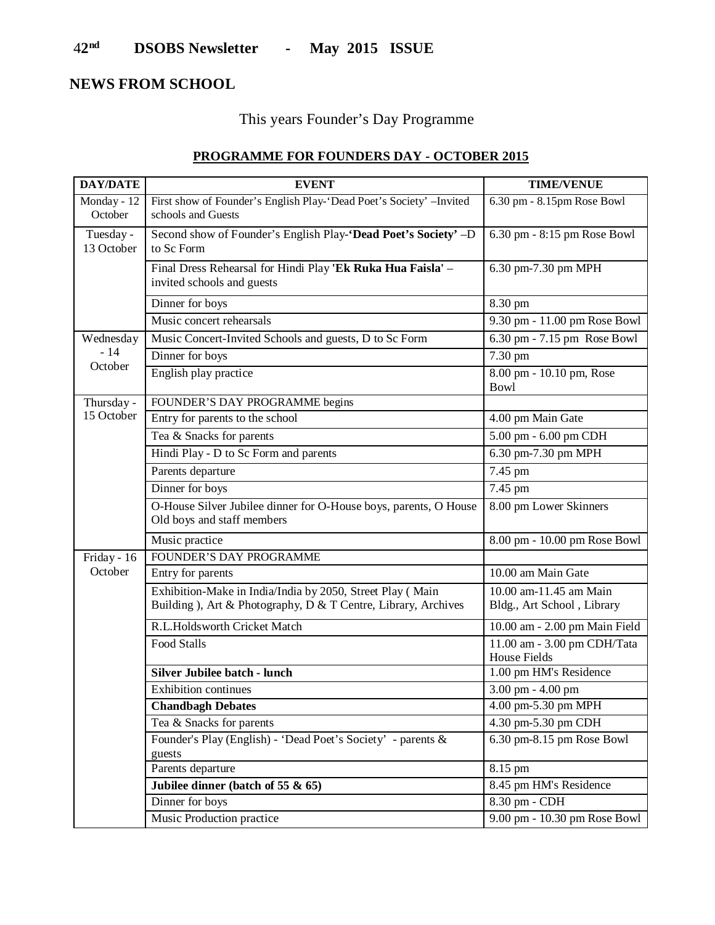#### 4**2 nd DSOBS Newsletter - May 2015 ISSUE**

### **NEWS FROM SCHOOL**

# This years Founder's Day Programme

## **PROGRAMME FOR FOUNDERS DAY - OCTOBER 2015**

| <b>DAY/DATE</b>          | <b>EVENT</b>                                                                                                               | <b>TIME/VENUE</b>                                    |
|--------------------------|----------------------------------------------------------------------------------------------------------------------------|------------------------------------------------------|
| Monday - 12<br>October   | First show of Founder's English Play-'Dead Poet's Society' -Invited<br>schools and Guests                                  | 6.30 pm - 8.15pm Rose Bowl                           |
| Tuesday -<br>13 October  | Second show of Founder's English Play-'Dead Poet's Society' -D<br>to Sc Form                                               | 6.30 pm - 8:15 pm Rose Bowl                          |
|                          | Final Dress Rehearsal for Hindi Play 'Ek Ruka Hua Faisla' -<br>invited schools and guests                                  | 6.30 pm-7.30 pm MPH                                  |
|                          | Dinner for boys                                                                                                            | 8.30 pm                                              |
|                          | Music concert rehearsals                                                                                                   | 9.30 pm - 11.00 pm Rose Bowl                         |
| Wednesday                | Music Concert-Invited Schools and guests, D to Sc Form                                                                     | 6.30 pm - 7.15 pm Rose Bowl                          |
| $-14$                    | Dinner for boys                                                                                                            | 7.30 pm                                              |
| October                  | English play practice                                                                                                      | 8.00 pm - 10.10 pm, Rose<br><b>Bowl</b>              |
| Thursday -<br>15 October | FOUNDER'S DAY PROGRAMME begins                                                                                             |                                                      |
|                          | Entry for parents to the school                                                                                            | 4.00 pm Main Gate                                    |
|                          | Tea & Snacks for parents                                                                                                   | 5.00 pm - 6.00 pm CDH                                |
|                          | Hindi Play - D to Sc Form and parents                                                                                      | 6.30 pm-7.30 pm MPH                                  |
|                          | Parents departure                                                                                                          | 7.45 pm                                              |
|                          | Dinner for boys                                                                                                            | $7.45$ pm                                            |
|                          | O-House Silver Jubilee dinner for O-House boys, parents, O House<br>Old boys and staff members                             | 8.00 pm Lower Skinners                               |
|                          | Music practice                                                                                                             | 8.00 pm - 10.00 pm Rose Bowl                         |
| Friday - 16              | FOUNDER'S DAY PROGRAMME                                                                                                    |                                                      |
| October                  | Entry for parents                                                                                                          | 10.00 am Main Gate                                   |
|                          | Exhibition-Make in India/India by 2050, Street Play (Main<br>Building), Art & Photography, D & T Centre, Library, Archives | 10.00 am-11.45 am Main<br>Bldg., Art School, Library |
|                          | R.L.Holdsworth Cricket Match                                                                                               | 10.00 am - 2.00 pm Main Field                        |
|                          | Food Stalls                                                                                                                | 11.00 am - 3.00 pm CDH/Tata<br><b>House Fields</b>   |
|                          | <b>Silver Jubilee batch - lunch</b>                                                                                        | 1.00 pm HM's Residence                               |
|                          | Exhibition continues                                                                                                       | 3.00 pm - 4.00 pm                                    |
|                          | <b>Chandbagh Debates</b>                                                                                                   | 4.00 pm-5.30 pm MPH                                  |
|                          | Tea & Snacks for parents                                                                                                   | 4.30 pm-5.30 pm CDH                                  |
|                          | Founder's Play (English) - 'Dead Poet's Society' - parents &<br>guests                                                     | 6.30 pm-8.15 pm Rose Bowl                            |
|                          | Parents departure                                                                                                          | 8.15 pm                                              |
|                          | Jubilee dinner (batch of 55 $\&$ 65)                                                                                       | 8.45 pm HM's Residence                               |
|                          | Dinner for boys                                                                                                            | 8.30 pm - CDH                                        |
|                          | Music Production practice                                                                                                  | 9.00 pm - 10.30 pm Rose Bowl                         |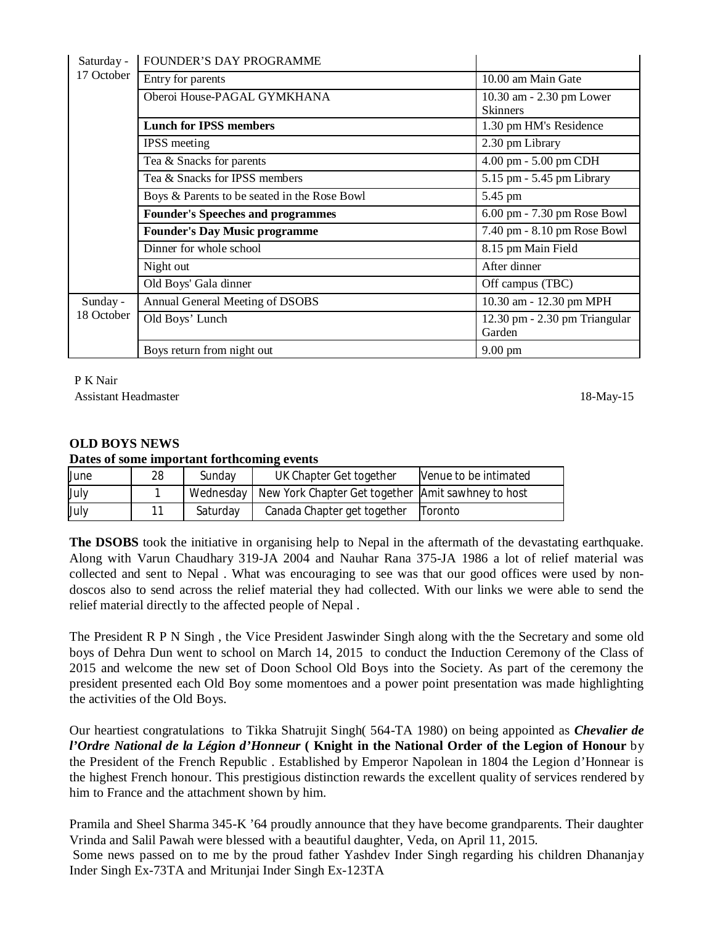| Saturday -             | <b>FOUNDER'S DAY PROGRAMME</b>               |                                             |
|------------------------|----------------------------------------------|---------------------------------------------|
| 17 October             | Entry for parents                            | 10.00 am Main Gate                          |
|                        | Oberoi House-PAGAL GYMKHANA                  | 10.30 am - 2.30 pm Lower<br><b>Skinners</b> |
|                        | <b>Lunch for IPSS members</b>                | 1.30 pm HM's Residence                      |
|                        | <b>IPSS</b> meeting                          | 2.30 pm Library                             |
|                        | Tea & Snacks for parents                     | 4.00 pm - 5.00 pm CDH                       |
|                        | Tea & Snacks for IPSS members                | 5.15 pm - 5.45 pm Library                   |
|                        | Boys & Parents to be seated in the Rose Bowl | 5.45 pm                                     |
|                        | <b>Founder's Speeches and programmes</b>     | 6.00 pm - 7.30 pm Rose Bowl                 |
|                        | <b>Founder's Day Music programme</b>         | 7.40 pm - 8.10 pm Rose Bowl                 |
|                        | Dinner for whole school                      | 8.15 pm Main Field                          |
|                        | Night out                                    | After dinner                                |
|                        | Old Boys' Gala dinner                        | Off campus (TBC)                            |
| Sunday -<br>18 October | Annual General Meeting of DSOBS              | 10.30 am - 12.30 pm MPH                     |
|                        | Old Boys' Lunch                              | 12.30 pm - 2.30 pm Triangular<br>Garden     |
|                        | Boys return from night out                   | $9.00 \text{ pm}$                           |

P K Nair

Assistant Headmaster 18-May-15

### **OLD BOYS NEWS**

#### **Dates of some important forthcoming events**

| June | 28 | Sunday   | UK Chapter Get together                                        | Nenue to be intimated |
|------|----|----------|----------------------------------------------------------------|-----------------------|
| July |    |          | Wednesday   New York Chapter Get together Amit sawhney to host |                       |
| July |    | Saturdav | Canada Chapter get together                                    | Toronto               |

**The DSOBS** took the initiative in organising help to Nepal in the aftermath of the devastating earthquake. Along with Varun Chaudhary 319-JA 2004 and Nauhar Rana 375-JA 1986 a lot of relief material was collected and sent to Nepal . What was encouraging to see was that our good offices were used by nondoscos also to send across the relief material they had collected. With our links we were able to send the relief material directly to the affected people of Nepal .

The President R P N Singh , the Vice President Jaswinder Singh along with the the Secretary and some old boys of Dehra Dun went to school on March 14, 2015 to conduct the Induction Ceremony of the Class of 2015 and welcome the new set of Doon School Old Boys into the Society. As part of the ceremony the president presented each Old Boy some momentoes and a power point presentation was made highlighting the activities of the Old Boys.

Our heartiest congratulations to Tikka Shatrujit Singh( 564-TA 1980) on being appointed as *Chevalier de l'Ordre National de la Légion d'Honneur* **( Knight in the National Order of the Legion of Honour** by the President of the French Republic . Established by Emperor Napolean in 1804 the Legion d'Honnear is the highest French honour. This prestigious distinction rewards the excellent quality of services rendered by him to France and the attachment shown by him.

Pramila and Sheel Sharma 345-K '64 proudly announce that they have become grandparents. Their daughter Vrinda and Salil Pawah were blessed with a beautiful daughter, Veda, on April 11, 2015. Some news passed on to me by the proud father Yashdev Inder Singh regarding his children Dhananjay Inder Singh Ex-73TA and Mritunjai Inder Singh Ex-123TA